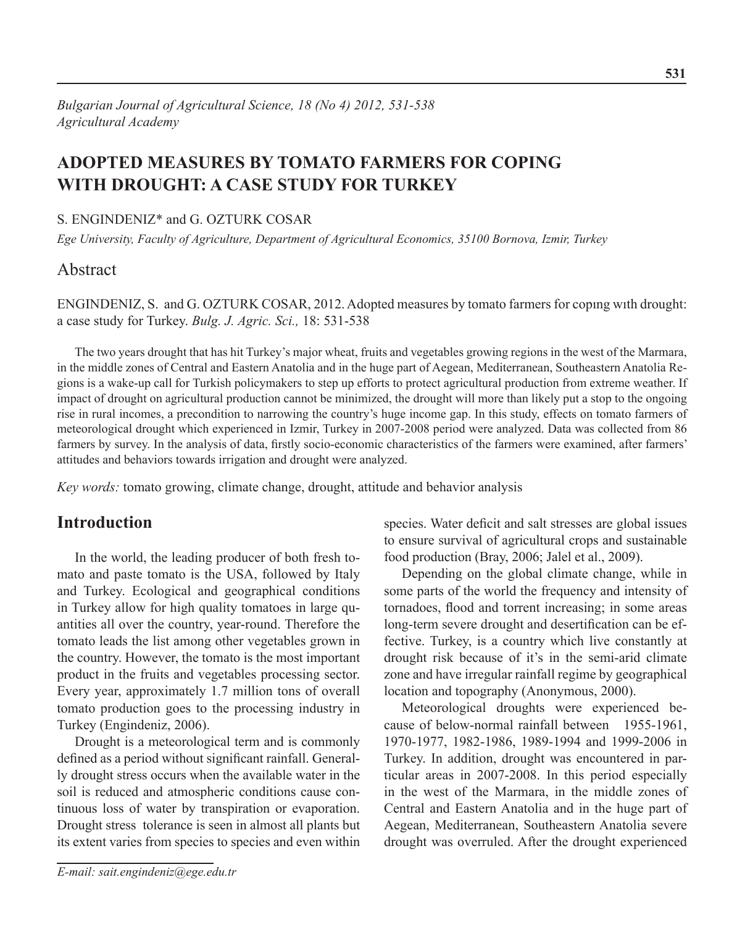# **ADOPTED MEASURES BY TOMATO FARMERS FOR COPING WITH DROUGHT: A CASE STUDY FOR TURKEY**

### S. ENGINDENIZ\* and G. OZTURK COSAR

*Ege University, Faculty of Agriculture, Department of Agricultural Economics, 35100 Bornova, Izmir, Turkey*

# Abstract

ENGINDENIZ, S. and G. OZTURK COSAR, 2012. Adopted measures by tomato farmers for copıng wıth drought: a case study for Turkey. *Bulg. J. Agric. Sci.,* 18: 531-538

The two years drought that has hit Turkey's major wheat, fruits and vegetables growing regions in the west of the Marmara, in the middle zones of Central and Eastern Anatolia and in the huge part of Aegean, Mediterranean, Southeastern Anatolia Regions is a wake-up call for Turkish policymakers to step up efforts to protect agricultural production from extreme weather. If impact of drought on agricultural production cannot be minimized, the drought will more than likely put a stop to the ongoing rise in rural incomes, a precondition to narrowing the country's huge income gap. In this study, effects on tomato farmers of meteorological drought which experienced in Izmir, Turkey in 2007-2008 period were analyzed. Data was collected from 86 farmers by survey. In the analysis of data, firstly socio-economic characteristics of the farmers were examined, after farmers' attitudes and behaviors towards irrigation and drought were analyzed.

*Key words:* tomato growing, climate change, drought, attitude and behavior analysis

# **Introduction**

In the world, the leading producer of both fresh tomato and paste tomato is the USA, followed by Italy and Turkey. Ecological and geographical conditions in Turkey allow for high quality tomatoes in large quantities all over the country, year-round. Therefore the tomato leads the list among other vegetables grown in the country. However, the tomato is the most important product in the fruits and vegetables processing sector. Every year, approximately 1.7 million tons of overall tomato production goes to the processing industry in Turkey (Engindeniz, 2006).

Drought is a meteorological term and is commonly defined as a period without significant rainfall. Generally drought stress occurs when the available water in the soil is reduced and atmospheric conditions cause continuous loss of water by transpiration or evaporation. Drought stress tolerance is seen in almost all plants but its extent varies from species to species and even within

*E-mail: sait.engindeniz@ege.edu.tr*

species. Water deficit and salt stresses are global issues to ensure survival of agricultural crops and sustainable food production (Bray, 2006; Jalel et al., 2009).

Depending on the global climate change, while in some parts of the world the frequency and intensity of tornadoes, flood and torrent increasing; in some areas long-term severe drought and desertification can be effective. Turkey, is a country which live constantly at drought risk because of it's in the semi-arid climate zone and have irregular rainfall regime by geographical location and topography (Anonymous, 2000).

Meteorological droughts were experienced because of below-normal rainfall between 1955-1961, 1970-1977, 1982-1986, 1989-1994 and 1999-2006 in Turkey. In addition, drought was encountered in particular areas in 2007-2008. In this period especially in the west of the Marmara, in the middle zones of Central and Eastern Anatolia and in the huge part of Aegean, Mediterranean, Southeastern Anatolia severe drought was overruled. After the drought experienced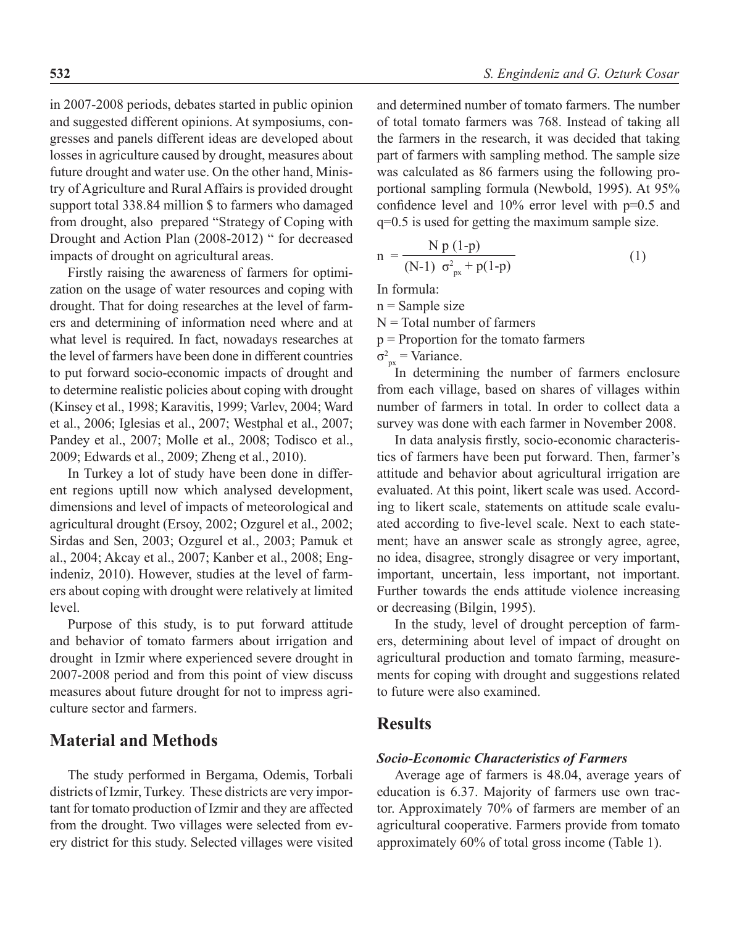in 2007-2008 periods, debates started in public opinion and suggested different opinions. At symposiums, congresses and panels different ideas are developed about losses in agriculture caused by drought, measures about future drought and water use. On the other hand, Ministry of Agriculture and Rural Affairs is provided drought support total 338.84 million \$ to farmers who damaged from drought, also prepared "Strategy of Coping with Drought and Action Plan (2008-2012) " for decreased impacts of drought on agricultural areas.

Firstly raising the awareness of farmers for optimization on the usage of water resources and coping with drought. That for doing researches at the level of farmers and determining of information need where and at what level is required. In fact, nowadays researches at the level of farmers have been done in different countries to put forward socio-economic impacts of drought and to determine realistic policies about coping with drought (Kinsey et al., 1998; Karavitis, 1999; Varlev, 2004; Ward et al., 2006; Iglesias et al., 2007; Westphal et al., 2007; Pandey et al., 2007; Molle et al., 2008; Todisco et al., 2009; Edwards et al., 2009; Zheng et al., 2010).

In Turkey a lot of study have been done in different regions uptill now which analysed development, dimensions and level of impacts of meteorological and agricultural drought (Ersoy, 2002; Ozgurel et al., 2002; Sirdas and Sen, 2003; Ozgurel et al., 2003; Pamuk et al., 2004; Akcay et al., 2007; Kanber et al., 2008; Engindeniz, 2010). However, studies at the level of farmers about coping with drought were relatively at limited level.

Purpose of this study, is to put forward attitude and behavior of tomato farmers about irrigation and drought in Izmir where experienced severe drought in 2007-2008 period and from this point of view discuss measures about future drought for not to impress agriculture sector and farmers.

# **Material and Methods**

The study performed in Bergama, Odemis, Torbali districts of Izmir, Turkey. These districts are very important for tomato production of Izmir and they are affected from the drought. Two villages were selected from every district for this study. Selected villages were visited

and determined number of tomato farmers. The number of total tomato farmers was 768. Instead of taking all the farmers in the research, it was decided that taking part of farmers with sampling method. The sample size was calculated as 86 farmers using the following proportional sampling formula (Newbold, 1995). At 95% confidence level and 10% error level with p=0.5 and q=0.5 is used for getting the maximum sample size.

$$
n = \frac{N p (1-p)}{(N-1) \sigma_{px}^2 + p(1-p)}
$$
(1)

In formula:

 $n =$  Sample size

 $N = Total number of farmers$ 

p = Proportion for the tomato farmers

 $\sigma_{px}^2$  = Variance.

In determining the number of farmers enclosure from each village, based on shares of villages within number of farmers in total. In order to collect data a survey was done with each farmer in November 2008.

In data analysis firstly, socio-economic characteristics of farmers have been put forward. Then, farmer's attitude and behavior about agricultural irrigation are evaluated. At this point, likert scale was used. According to likert scale, statements on attitude scale evaluated according to five-level scale. Next to each statement; have an answer scale as strongly agree, agree, no idea, disagree, strongly disagree or very important, important, uncertain, less important, not important. Further towards the ends attitude violence increasing or decreasing (Bilgin, 1995).

In the study, level of drought perception of farmers, determining about level of impact of drought on agricultural production and tomato farming, measurements for coping with drought and suggestions related to future were also examined.

### **Results**

### *Socio-Economic Characteristics of Farmers*

Average age of farmers is 48.04, average years of education is 6.37. Majority of farmers use own tractor. Approximately 70% of farmers are member of an agricultural cooperative. Farmers provide from tomato approximately 60% of total gross income (Table 1).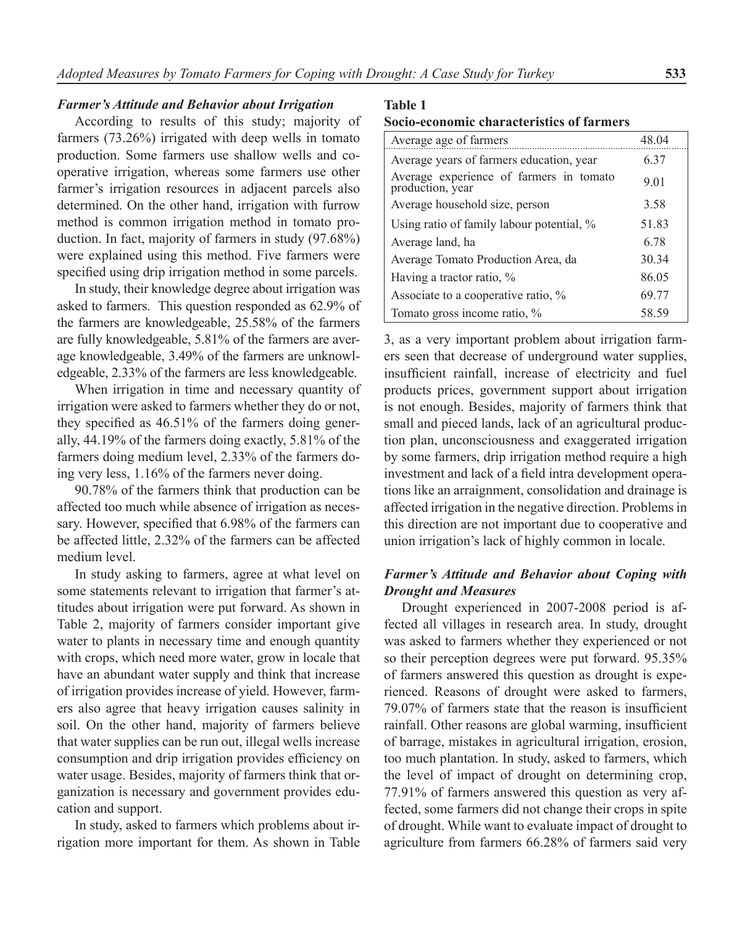### *Farmer's Attitude and Behavior about Irrigation*

According to results of this study; majority of farmers (73.26%) irrigated with deep wells in tomato production. Some farmers use shallow wells and cooperative irrigation, whereas some farmers use other farmer's irrigation resources in adjacent parcels also determined. On the other hand, irrigation with furrow method is common irrigation method in tomato production. In fact, majority of farmers in study (97.68%) were explained using this method. Five farmers were specified using drip irrigation method in some parcels.

In study, their knowledge degree about irrigation was asked to farmers. This question responded as 62.9% of the farmers are knowledgeable, 25.58% of the farmers are fully knowledgeable, 5.81% of the farmers are average knowledgeable, 3.49% of the farmers are unknowledgeable, 2.33% of the farmers are less knowledgeable.

When irrigation in time and necessary quantity of irrigation were asked to farmers whether they do or not, they specified as 46.51% of the farmers doing generally, 44.19% of the farmers doing exactly, 5.81% of the farmers doing medium level, 2.33% of the farmers doing very less, 1.16% of the farmers never doing.

90.78% of the farmers think that production can be affected too much while absence of irrigation as necessary. However, specified that 6.98% of the farmers can be affected little, 2.32% of the farmers can be affected medium level.

In study asking to farmers, agree at what level on some statements relevant to irrigation that farmer's attitudes about irrigation were put forward. As shown in Table 2, majority of farmers consider important give water to plants in necessary time and enough quantity with crops, which need more water, grow in locale that have an abundant water supply and think that increase of irrigation provides increase of yield. However, farmers also agree that heavy irrigation causes salinity in soil. On the other hand, majority of farmers believe that water supplies can be run out, illegal wells increase consumption and drip irrigation provides efficiency on water usage. Besides, majority of farmers think that organization is necessary and government provides education and support.

In study, asked to farmers which problems about irrigation more important for them. As shown in Table

### **Table 1**

| Socio-economic characteristics of farmers |  |  |  |  |  |  |
|-------------------------------------------|--|--|--|--|--|--|
|-------------------------------------------|--|--|--|--|--|--|

| Average age of farmers                                      | 48.04 |
|-------------------------------------------------------------|-------|
| Average years of farmers education, year                    | 6.37  |
| Average experience of farmers in tomato<br>production, year | 9.01  |
| Average household size, person                              | 3.58  |
| Using ratio of family labour potential, %                   | 51.83 |
| Average land, ha                                            | 6.78  |
| Average Tomato Production Area, da                          | 30.34 |
| Having a tractor ratio, %                                   | 86.05 |
| Associate to a cooperative ratio, %                         | 69.77 |
| Tomato gross income ratio, %                                | 58.59 |

3, as a very important problem about irrigation farmers seen that decrease of underground water supplies, insufficient rainfall, increase of electricity and fuel products prices, government support about irrigation is not enough. Besides, majority of farmers think that small and pieced lands, lack of an agricultural production plan, unconsciousness and exaggerated irrigation by some farmers, drip irrigation method require a high investment and lack of a field intra development operations like an arraignment, consolidation and drainage is affected irrigation in the negative direction. Problems in this direction are not important due to cooperative and union irrigation's lack of highly common in locale.

### *Farmer's Attitude and Behavior about Coping with Drought and Measures*

Drought experienced in 2007-2008 period is affected all villages in research area. In study, drought was asked to farmers whether they experienced or not so their perception degrees were put forward. 95.35% of farmers answered this question as drought is experienced. Reasons of drought were asked to farmers, 79.07% of farmers state that the reason is insufficient rainfall. Other reasons are global warming, insufficient of barrage, mistakes in agricultural irrigation, erosion, too much plantation. In study, asked to farmers, which the level of impact of drought on determining crop, 77.91% of farmers answered this question as very affected, some farmers did not change their crops in spite of drought. While want to evaluate impact of drought to agriculture from farmers 66.28% of farmers said very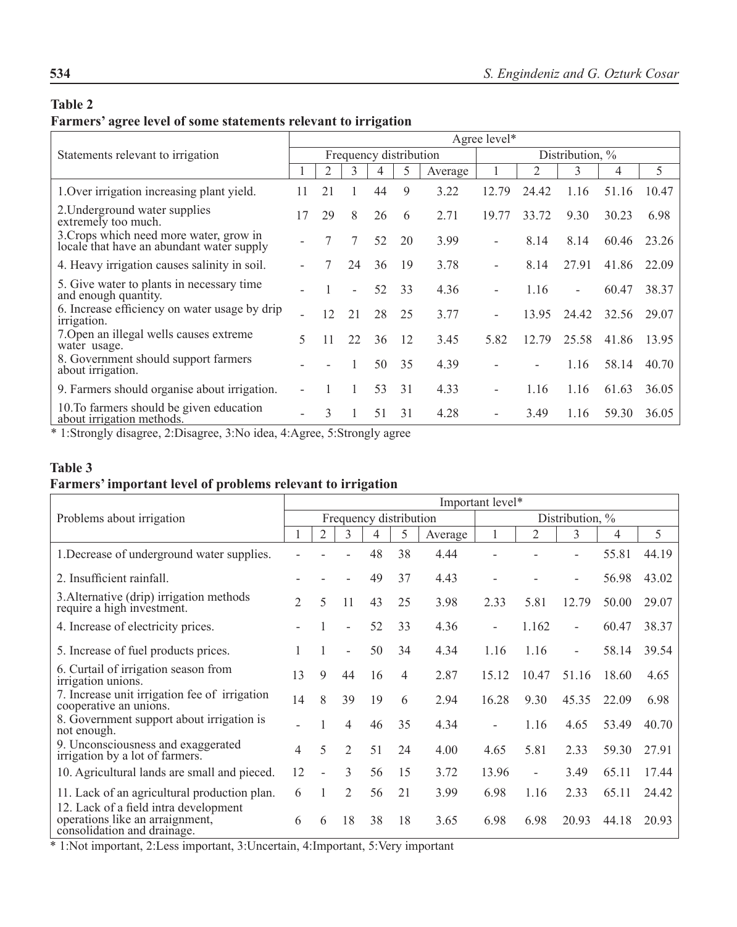### **Table 2**

# **Farmers' agree level of some statements relevant to irrigation**

| Statements relevant to irrigation                                                    |    | Agree level* |                          |                        |    |         |                    |       |                          |       |       |  |
|--------------------------------------------------------------------------------------|----|--------------|--------------------------|------------------------|----|---------|--------------------|-------|--------------------------|-------|-------|--|
|                                                                                      |    |              |                          | Frequency distribution |    |         | Distribution, $\%$ |       |                          |       |       |  |
|                                                                                      |    | 2            | 3                        | 4                      | 5  | Average |                    | 2     | 3                        | 4     | 5     |  |
| 1. Over irrigation increasing plant yield.                                           | 11 | 21           |                          | 44                     | 9  | 3.22    | 12.79              | 24.42 | 1.16                     | 51.16 | 10.47 |  |
| 2. Underground water supplies<br>extremely too much.                                 | 17 | 29           | 8                        | 26                     | 6  | 2.71    | 19.77              | 33.72 | 9.30                     | 30.23 | 6.98  |  |
| 3. Crops which need more water, grow in<br>locale that have an abundant water supply |    |              | 7                        | 52                     | 20 | 3.99    |                    | 8.14  | 8.14                     | 60.46 | 23.26 |  |
| 4. Heavy irrigation causes salinity in soil.                                         |    |              | 24                       | 36                     | 19 | 3.78    |                    | 8.14  | 27.91                    | 41.86 | 22.09 |  |
| 5. Give water to plants in necessary time<br>and enough quantity.                    |    |              | $\overline{\phantom{0}}$ | 52                     | 33 | 4.36    |                    | 1.16  | $\overline{\phantom{a}}$ | 60.47 | 38.37 |  |
| 6. Increase efficiency on water usage by drip<br>irrigation.                         |    | 12           | 21                       | 28                     | 25 | 3.77    |                    | 13.95 | 24.42                    | 32.56 | 29.07 |  |
| 7. Open an illegal wells causes extreme<br>water usage.                              | 5  | 11           | 22                       | 36                     | 12 | 3.45    | 5.82               | 12.79 | 25.58                    | 41.86 | 13.95 |  |
| 8. Government should support farmers<br>about irrigation.                            |    |              |                          | 50                     | 35 | 4.39    |                    |       | 1.16                     | 58.14 | 40.70 |  |
| 9. Farmers should organise about irrigation.                                         |    |              |                          | 53                     | 31 | 4.33    |                    | 1.16  | 1.16                     | 61.63 | 36.05 |  |
| 10. To farmers should be given education<br>about irrigation methods.                |    | 3            |                          | 51                     | 31 | 4.28    |                    | 3.49  | 1.16                     | 59.30 | 36.05 |  |

\* 1:Strongly disagree, 2:Disagree, 3:No idea, 4:Agree, 5:Strongly agree

### **Table 3**

# **Farmers' important level of problems relevant to irrigation**

|                                                                                       |                | Important level* |                          |                        |    |         |                 |       |                          |       |       |  |
|---------------------------------------------------------------------------------------|----------------|------------------|--------------------------|------------------------|----|---------|-----------------|-------|--------------------------|-------|-------|--|
| Problems about irrigation                                                             |                |                  |                          | Frequency distribution |    |         | Distribution, % |       |                          |       |       |  |
|                                                                                       |                | $\overline{2}$   | 3                        | 4                      | 5  | Average |                 | 2     | 3                        | 4     | 5     |  |
| 1. Decrease of underground water supplies.                                            |                |                  |                          | 48                     | 38 | 4.44    |                 |       |                          | 55.81 | 44.19 |  |
| 2. Insufficient rainfall.                                                             |                |                  |                          | 49                     | 37 | 4.43    |                 |       | $\overline{\phantom{a}}$ | 56.98 | 43.02 |  |
| 3. Alternative (drip) irrigation methods<br>require a high investment.                | $\mathfrak{D}$ | 5                | 11                       | 43                     | 25 | 3.98    | 2.33            | 5.81  | 12.79                    | 50.00 | 29.07 |  |
| 4. Increase of electricity prices.                                                    |                |                  | $\overline{\phantom{a}}$ | 52                     | 33 | 4.36    | -               | 1.162 | $\overline{\phantom{a}}$ | 60.47 | 38.37 |  |
| 5. Increase of fuel products prices.                                                  |                | 1                | $\overline{\phantom{a}}$ | 50                     | 34 | 4.34    | 1.16            | 1.16  | $\blacksquare$           | 58.14 | 39.54 |  |
| 6. Curtail of irrigation season from<br>irrigation unions.                            | 13             | 9                | 44                       | 16                     | 4  | 2.87    | 15.12           | 10.47 | 51.16                    | 18.60 | 4.65  |  |
| 7. Increase unit irrigation fee of irrigation<br>cooperative an unions.               | 14             | 8                | 39                       | 19                     | 6  | 2.94    | 16.28           | 9.30  | 45.35                    | 22.09 | 6.98  |  |
| 8. Government support about irrigation is<br>not enough.                              |                |                  | $\overline{4}$           | 46                     | 35 | 4.34    | $\blacksquare$  | 1.16  | 4.65                     | 53.49 | 40.70 |  |
| 9. Unconsciousness and exaggerated<br>irrigation by a lot of farmers.                 | 4              | 5                | 2                        | 51                     | 24 | 4.00    | 4.65            | 5.81  | 2.33                     | 59.30 | 27.91 |  |
| 10. Agricultural lands are small and pieced.                                          | 12             |                  | 3                        | 56                     | 15 | 3.72    | 13.96           |       | 3.49                     | 65.11 | 17.44 |  |
| 11. Lack of an agricultural production plan.<br>12. Lack of a field intra development | 6              |                  | $\mathfrak{D}$           | 56                     | 21 | 3.99    | 6.98            | 1.16  | 2.33                     | 65.11 | 24.42 |  |
| operations like an arraignment,<br>consolidation and drainage.                        | 6              | 6                | 18                       | 38                     | 18 | 3.65    | 6.98            | 6.98  | 20.93                    | 44.18 | 20.93 |  |

\* 1:Not important, 2:Less important, 3:Uncertain, 4:Important, 5:Very important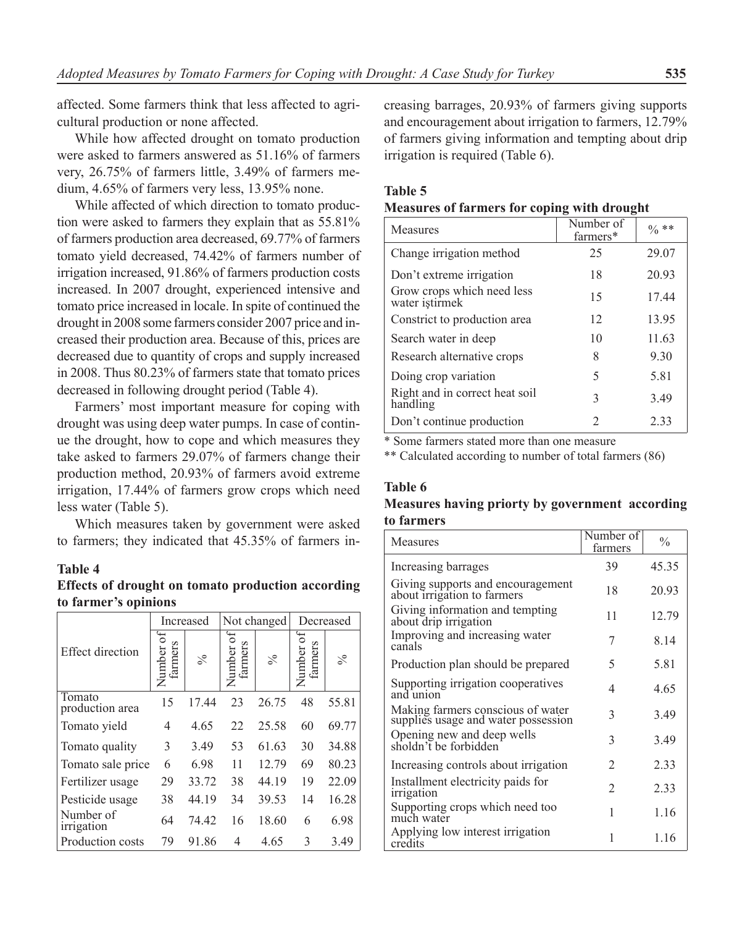affected. Some farmers think that less affected to agricultural production or none affected.

While how affected drought on tomato production were asked to farmers answered as 51.16% of farmers very, 26.75% of farmers little, 3.49% of farmers medium, 4.65% of farmers very less, 13.95% none.

While affected of which direction to tomato production were asked to farmers they explain that as 55.81% of farmers production area decreased, 69.77% of farmers tomato yield decreased, 74.42% of farmers number of irrigation increased, 91.86% of farmers production costs increased. In 2007 drought, experienced intensive and tomato price increased in locale. In spite of continued the drought in 2008 some farmers consider 2007 price and increased their production area. Because of this, prices are decreased due to quantity of crops and supply increased in 2008. Thus 80.23% of farmers state that tomato prices decreased in following drought period (Table 4).

Farmers' most important measure for coping with drought was using deep water pumps. In case of continue the drought, how to cope and which measures they take asked to farmers 29.07% of farmers change their production method, 20.93% of farmers avoid extreme irrigation, 17.44% of farmers grow crops which need less water (Table 5).

Which measures taken by government were asked to farmers; they indicated that 45.35% of farmers in-

### **Table 4**

**Effects of drought on tomato production according to farmer's opinions**

|                           |                        | Increased |                           | Not changed | Decreased        |       |  |
|---------------------------|------------------------|-----------|---------------------------|-------------|------------------|-------|--|
| <b>Effect direction</b>   | ð<br>farmers<br>Number | $\%$      | ð<br>mers<br>Number<br>ΙĘ | $\%$        | $\sigma$<br>mers | $\%$  |  |
| Tomato<br>production area | 15                     | 17.44     | 23                        | 26.75       | 48               | 55.81 |  |
| Tomato yield              | 4                      | 4.65      | 22                        | 25.58       | 60               | 69.77 |  |
| Tomato quality            | 3                      | 3.49      | 53                        | 61.63       | 30               | 34.88 |  |
| Tomato sale price         | 6                      | 6.98      | 11                        | 12.79       | 69               | 80.23 |  |
| Fertilizer usage          | 29                     | 33.72     | 38                        | 44.19       | 19               | 22.09 |  |
| Pesticide usage           | 38                     | 44.19     | 34                        | 39.53       | 14               | 16.28 |  |
| Number of<br>irrigation   | 64                     | 74.42     | 16                        | 18.60       | 6                | 6.98  |  |
| Production costs          | 79                     | 91.86     | 4                         | 4.65        | 3                | 3.49  |  |

creasing barrages, 20.93% of farmers giving supports and encouragement about irrigation to farmers, 12.79% of farmers giving information and tempting about drip irrigation is required (Table 6).

#### **Table 5**

### **Measures of farmers for coping with drought**

| <b>Measures</b>                              | Number of<br>farmers* | $\frac{0}{6}$ ** |
|----------------------------------------------|-----------------------|------------------|
| Change irrigation method                     | 25                    | 29.07            |
| Don't extreme irrigation                     | 18                    | 20.93            |
| Grow crops which need less<br>water istirmek | 15                    | 17.44            |
| Constrict to production area                 | 12                    | 13.95            |
| Search water in deep                         | 10                    | 11.63            |
| Research alternative crops                   | 8                     | 9.30             |
| Doing crop variation                         | 5                     | 5.81             |
| Right and in correct heat soil<br>handling   | 3                     | 3.49             |
| Don't continue production                    | $\mathfrak{D}$        | 233              |

\* Some farmers stated more than one measure

\*\* Calculated according to number of total farmers (86)

#### **Table 6**

### **Measures having priorty by government according to farmers**

| Measures                                                                 | Number of<br>farmers | $\frac{0}{0}$ |
|--------------------------------------------------------------------------|----------------------|---------------|
| Increasing barrages                                                      | 39                   | 45.35         |
| Giving supports and encouragement<br>about irrigation to farmers         | 18                   | 20.93         |
| Giving information and tempting<br>about drip irrigation                 | 11                   | 12.79         |
| Improving and increasing water<br>canals                                 | 7                    | 8.14          |
| Production plan should be prepared                                       | 5                    | 5.81          |
| Supporting irrigation cooperatives<br>and union                          | 4                    | 4.65          |
| Making farmers conscious of water<br>supplies usage and water possession | 3                    | 3.49          |
| Opening new and deep wells<br>sholdn't be forbidden                      | 3                    | 3.49          |
| Increasing controls about irrigation                                     | 2                    | 2.33          |
| Installment electricity paids for<br>irrigation                          | $\mathfrak{D}$       | 2.33          |
| Supporting crops which need too<br>much water                            | 1                    | 1.16          |
| Applying low interest irrigation<br>credits                              | 1                    | 1.16          |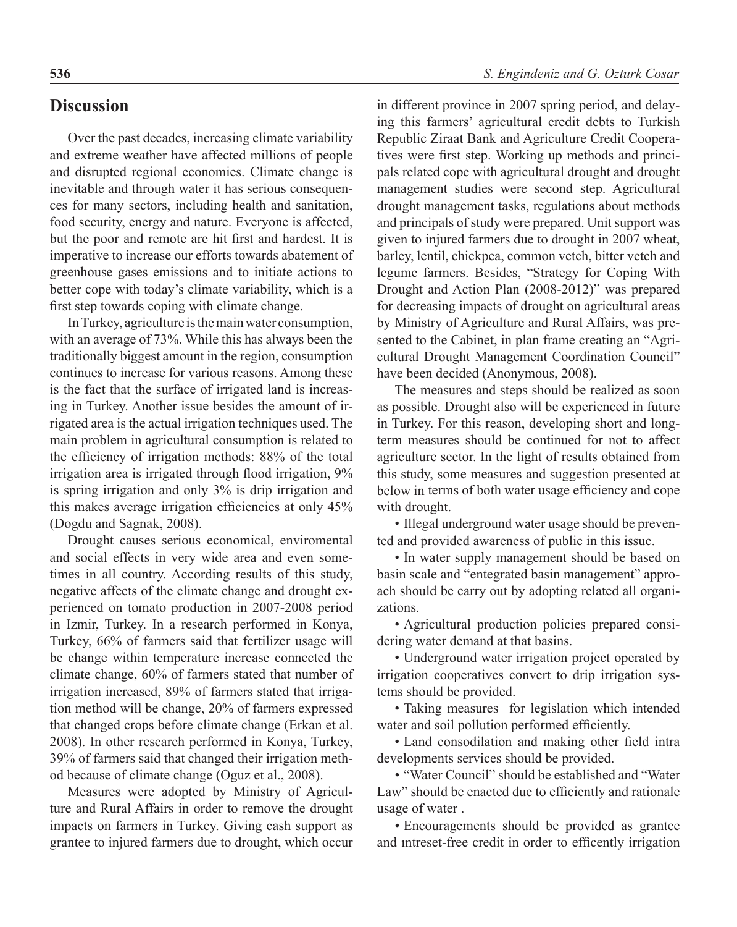### **Discussion**

Over the past decades, increasing climate variability and extreme weather have affected millions of people and disrupted regional economies. Climate change is inevitable and through water it has serious consequences for many sectors, including health and sanitation, food security, energy and nature. Everyone is affected, but the poor and remote are hit first and hardest. It is imperative to increase our efforts towards abatement of greenhouse gases emissions and to initiate actions to better cope with today's climate variability, which is a first step towards coping with climate change.

In Turkey, agriculture is the main water consumption, with an average of 73%. While this has always been the traditionally biggest amount in the region, consumption continues to increase for various reasons. Among these is the fact that the surface of irrigated land is increasing in Turkey. Another issue besides the amount of irrigated area is the actual irrigation techniques used. The main problem in agricultural consumption is related to the efficiency of irrigation methods: 88% of the total irrigation area is irrigated through flood irrigation, 9% is spring irrigation and only 3% is drip irrigation and this makes average irrigation efficiencies at only 45% (Dogdu and Sagnak, 2008).

Drought causes serious economical, enviromental and social effects in very wide area and even sometimes in all country. According results of this study, negative affects of the climate change and drought experienced on tomato production in 2007-2008 period in Izmir, Turkey. In a research performed in Konya, Turkey, 66% of farmers said that fertilizer usage will be change within temperature increase connected the climate change, 60% of farmers stated that number of irrigation increased, 89% of farmers stated that irrigation method will be change, 20% of farmers expressed that changed crops before climate change (Erkan et al. 2008). In other research performed in Konya, Turkey, 39% of farmers said that changed their irrigation method because of climate change (Oguz et al., 2008).

Measures were adopted by Ministry of Agriculture and Rural Affairs in order to remove the drought impacts on farmers in Turkey. Giving cash support as grantee to injured farmers due to drought, which occur

in different province in 2007 spring period, and delaying this farmers' agricultural credit debts to Turkish Republic Ziraat Bank and Agriculture Credit Cooperatives were first step. Working up methods and principals related cope with agricultural drought and drought management studies were second step. Agricultural drought management tasks, regulations about methods and principals of study were prepared. Unit support was given to injured farmers due to drought in 2007 wheat, barley, lentil, chickpea, common vetch, bitter vetch and legume farmers. Besides, "Strategy for Coping With Drought and Action Plan (2008-2012)" was prepared for decreasing impacts of drought on agricultural areas by Ministry of Agriculture and Rural Affairs, was presented to the Cabinet, in plan frame creating an "Agricultural Drought Management Coordination Council" have been decided (Anonymous, 2008).

The measures and steps should be realized as soon as possible. Drought also will be experienced in future in Turkey. For this reason, developing short and longterm measures should be continued for not to affect agriculture sector. In the light of results obtained from this study, some measures and suggestion presented at below in terms of both water usage efficiency and cope with drought.

• Illegal underground water usage should be prevented and provided awareness of public in this issue.

• In water supply management should be based on basin scale and "entegrated basin management" approach should be carry out by adopting related all organizations.

• Agricultural production policies prepared considering water demand at that basins.

• Underground water irrigation project operated by irrigation cooperatives convert to drip irrigation systems should be provided.

• Taking measures for legislation which intended water and soil pollution performed efficiently.

• Land consodilation and making other field intra developments services should be provided.

• "Water Council" should be established and "Water Law" should be enacted due to efficiently and rationale usage of water .

• Encouragements should be provided as grantee and ıntreset-free credit in order to efficently irrigation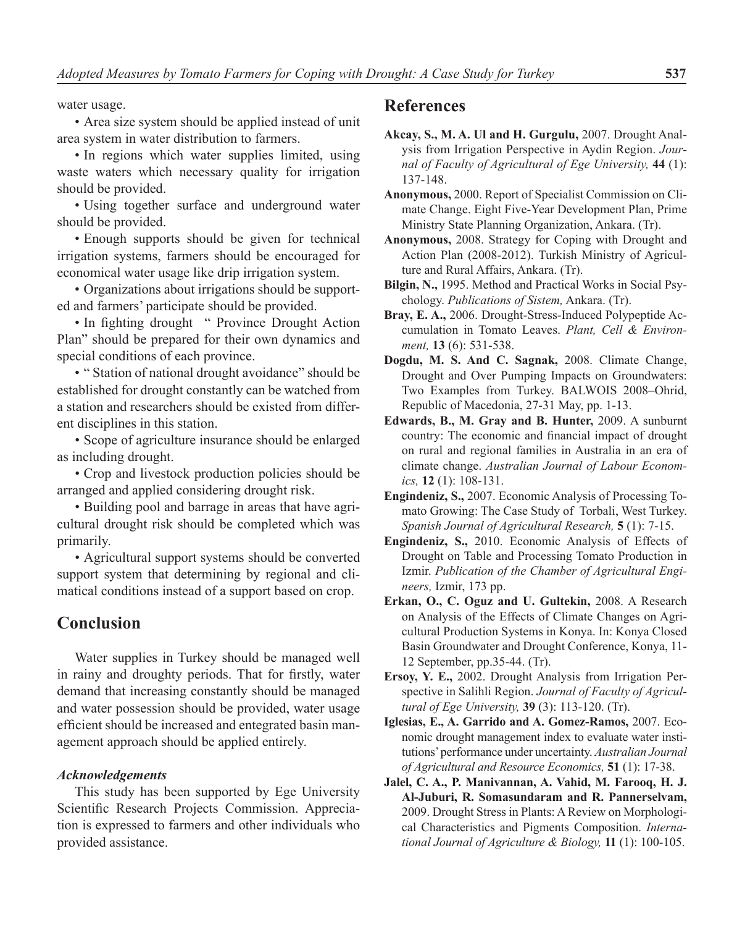water usage.

• Area size system should be applied instead of unit area system in water distribution to farmers.

• In regions which water supplies limited, using waste waters which necessary quality for irrigation should be provided.

• Using together surface and underground water should be provided.

• Enough supports should be given for technical irrigation systems, farmers should be encouraged for economical water usage like drip irrigation system.

• Organizations about irrigations should be supported and farmers' participate should be provided.

• In fighting drought " Province Drought Action Plan" should be prepared for their own dynamics and special conditions of each province.

• " Station of national drought avoidance" should be established for drought constantly can be watched from a station and researchers should be existed from different disciplines in this station.

• Scope of agriculture insurance should be enlarged as including drought.

• Crop and livestock production policies should be arranged and applied considering drought risk.

• Building pool and barrage in areas that have agricultural drought risk should be completed which was primarily.

• Agricultural support systems should be converted support system that determining by regional and climatical conditions instead of a support based on crop.

# **Conclusion**

Water supplies in Turkey should be managed well in rainy and droughty periods. That for firstly, water demand that increasing constantly should be managed and water possession should be provided, water usage efficient should be increased and entegrated basin management approach should be applied entirely.

### *Acknowledgements*

This study has been supported by Ege University Scientific Research Projects Commission. Appreciation is expressed to farmers and other individuals who provided assistance.

# **References**

**Akcay, S., M. A. Ul and H. Gurgulu,** 2007. Drought Analysis from Irrigation Perspective in Aydin Region. *Journal of Faculty of Agricultural of Ege University,* **44** (1): 137-148.

**Anonymous,** 2000. Report of Specialist Commission on Climate Change. Eight Five-Year Development Plan, Prime Ministry State Planning Organization, Ankara. (Tr).

- **Anonymous,** 2008. Strategy for Coping with Drought and Action Plan (2008-2012). Turkish Ministry of Agriculture and Rural Affairs, Ankara. (Tr).
- **Bilgin, N.,** 1995. Method and Practical Works in Social Psychology. *Publications of Sistem,* Ankara. (Tr).
- **Bray, E. A.,** 2006. Drought-Stress-Induced Polypeptide Accumulation in Tomato Leaves. *Plant, Cell & Environment,* **13** (6): 531-538.
- **Dogdu, M. S. And C. Sagnak,** 2008. Climate Change, Drought and Over Pumping Impacts on Groundwaters: Two Examples from Turkey. BALWOIS 2008–Ohrid, Republic of Macedonia, 27-31 May, pp. 1-13.
- **Edwards, B., M. Gray and B. Hunter,** 2009. A sunburnt country: The economic and financial impact of drought on rural and regional families in Australia in an era of climate change. *Australian Journal of Labour Economics,* **12** (1): 108-131.

**Engindeniz, S.,** 2007. Economic Analysis of Processing Tomato Growing: The Case Study of Torbali, West Turkey. *Spanish Journal of Agricultural Research,* **5** (1): 7-15.

- **Engindeniz, S.,** 2010. Economic Analysis of Effects of Drought on Table and Processing Tomato Production in Izmir. *Publication of the Chamber of Agricultural Engineers,* Izmir, 173 pp.
- **Erkan, O., C. Oguz and U. Gultekin,** 2008. A Research on Analysis of the Effects of Climate Changes on Agricultural Production Systems in Konya. In: Konya Closed Basin Groundwater and Drought Conference, Konya, 11- 12 September, pp.35-44. (Tr).

**Ersoy, Y. E.,** 2002. Drought Analysis from Irrigation Perspective in Salihli Region. *Journal of Faculty of Agricultural of Ege University,* **39** (3): 113-120. (Tr).

- **Iglesias, E., A. Garrido and A. Gomez-Ramos,** 2007. Economic drought management index to evaluate water institutions' performance under uncertainty. *Australian Journal of Agricultural and Resource Economics,* **51** (1): 17-38.
- **Jalel, C. A., P. Manivannan, A. Vahid, M. Farooq, H. J. Al-Juburi, R. Somasundaram and R. Pannerselvam,**  2009. Drought Stress in Plants: A Review on Morphological Characteristics and Pigments Composition. *International Journal of Agriculture & Biology,* **11** (1): 100-105.